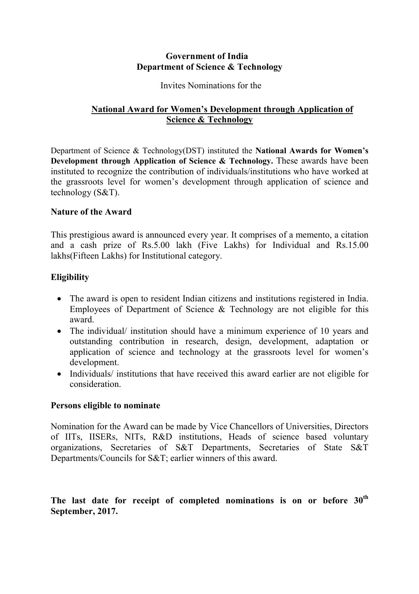# **Government of India Department of Science & Technology**

#### Invites Nominations for the

# **National Award for Women's Development through Application of Science & Technology**

Department of Science & Technology(DST) instituted the **National Awards for Women's Development through Application of Science & Technology.** These awards have been instituted to recognize the contribution of individuals/institutions who have worked at the grassroots level for women's development through application of science and technology (S&T).

# **Nature of the Award**

This prestigious award is announced every year. It comprises of a memento, a citation and a cash prize of Rs.5.00 lakh (Five Lakhs) for Individual and Rs.15.00 lakhs(Fifteen Lakhs) for Institutional category.

# **Eligibility**

- The award is open to resident Indian citizens and institutions registered in India. Employees of Department of Science & Technology are not eligible for this award.
- The individual/ institution should have a minimum experience of 10 years and outstanding contribution in research, design, development, adaptation or application of science and technology at the grassroots level for women's development.
- Individuals/ institutions that have received this award earlier are not eligible for consideration.

# **Persons eligible to nominate**

Nomination for the Award can be made by Vice Chancellors of Universities, Directors of IITs, IISERs, NITs, R&D institutions, Heads of science based voluntary organizations, Secretaries of S&T Departments, Secretaries of State S&T Departments/Councils for S&T; earlier winners of this award.

**The last date for receipt of completed nominations is on or before 30th September, 2017.**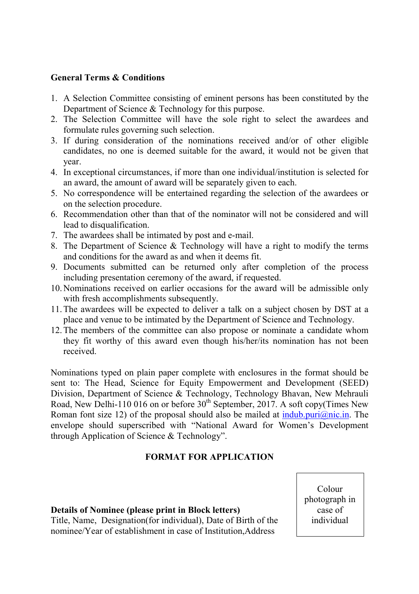### **General Terms & Conditions**

- 1. A Selection Committee consisting of eminent persons has been constituted by the Department of Science & Technology for this purpose.
- 2. The Selection Committee will have the sole right to select the awardees and formulate rules governing such selection.
- 3. If during consideration of the nominations received and/or of other eligible candidates, no one is deemed suitable for the award, it would not be given that year.
- 4. In exceptional circumstances, if more than one individual/institution is selected for an award, the amount of award will be separately given to each.
- 5. No correspondence will be entertained regarding the selection of the awardees or on the selection procedure.
- 6. Recommendation other than that of the nominator will not be considered and will lead to disqualification.
- 7. The awardees shall be intimated by post and e-mail.
- 8. The Department of Science & Technology will have a right to modify the terms and conditions for the award as and when it deems fit.
- 9. Documents submitted can be returned only after completion of the process including presentation ceremony of the award, if requested.
- 10.Nominations received on earlier occasions for the award will be admissible only with fresh accomplishments subsequently.
- 11.The awardees will be expected to deliver a talk on a subject chosen by DST at a place and venue to be intimated by the Department of Science and Technology.
- 12.The members of the committee can also propose or nominate a candidate whom they fit worthy of this award even though his/her/its nomination has not been received.

Nominations typed on plain paper complete with enclosures in the format should be sent to: The Head, Science for Equity Empowerment and Development (SEED) Division, Department of Science & Technology, Technology Bhavan, New Mehrauli Road, New Delhi-110 016 on or before  $30<sup>th</sup>$  September, 2017. A soft copy(Times New Roman font size 12) of the proposal should also be mailed at indub.puri $\omega$ nic.in. The envelope should superscribed with "National Award for Women's Development through Application of Science & Technology".

# **FORMAT FOR APPLICATION**

#### **Details of Nominee (please print in Block letters)**

Title, Name, Designation(for individual), Date of Birth of the nominee/Year of establishment in case of Institution,Address

Colour photograph in case of individual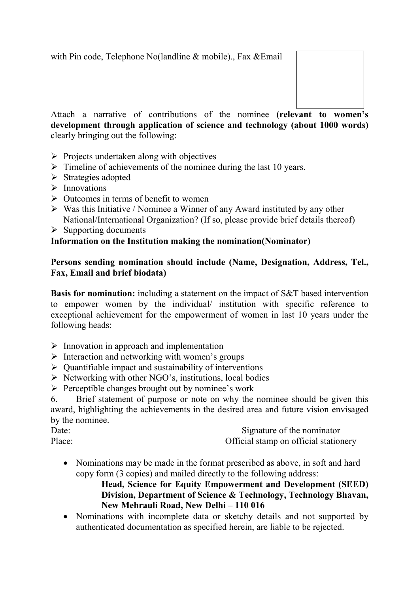

Attach a narrative of contributions of the nominee **(relevant to women's development through application of science and technology (about 1000 words)**  clearly bringing out the following:

- $\triangleright$  Projects undertaken along with objectives
- $\triangleright$  Timeline of achievements of the nominee during the last 10 years.
- $\triangleright$  Strategies adopted
- $\triangleright$  Innovations
- $\triangleright$  Outcomes in terms of benefit to women
- $\triangleright$  Was this Initiative / Nominee a Winner of any Award instituted by any other National/International Organization? (If so, please provide brief details thereof)
- $\triangleright$  Supporting documents

# **Information on the Institution making the nomination(Nominator)**

# **Persons sending nomination should include (Name, Designation, Address, Tel., Fax, Email and brief biodata)**

**Basis for nomination:** including a statement on the impact of S&T based intervention to empower women by the individual/ institution with specific reference to exceptional achievement for the empowerment of women in last 10 years under the following heads:

- $\triangleright$  Innovation in approach and implementation
- $\triangleright$  Interaction and networking with women's groups
- $\triangleright$  Quantifiable impact and sustainability of interventions
- $\triangleright$  Networking with other NGO's, institutions, local bodies
- $\triangleright$  Perceptible changes brought out by nominee's work

6. Brief statement of purpose or note on why the nominee should be given this award, highlighting the achievements in the desired area and future vision envisaged by the nominee.

| Date:  | Signature of the nominator            |
|--------|---------------------------------------|
| Place: | Official stamp on official stationery |

• Nominations may be made in the format prescribed as above, in soft and hard copy form (3 copies) and mailed directly to the following address:

# **Head, Science for Equity Empowerment and Development (SEED) Division, Department of Science & Technology, Technology Bhavan, New Mehrauli Road, New Delhi – 110 016**

• Nominations with incomplete data or sketchy details and not supported by authenticated documentation as specified herein, are liable to be rejected.